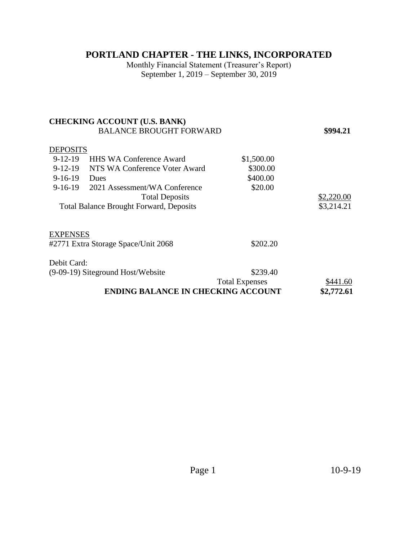## **PORTLAND CHAPTER - THE LINKS, INCORPORATED**

Monthly Financial Statement (Treasurer's Report) September 1, 2019 – September 30, 2019

|                                                         | <b>CHECKING ACCOUNT (U.S. BANK)</b> |                       |            |  |
|---------------------------------------------------------|-------------------------------------|-----------------------|------------|--|
|                                                         | <b>BALANCE BROUGHT FORWARD</b>      |                       | \$994.21   |  |
| <b>DEPOSITS</b>                                         |                                     |                       |            |  |
| $9-12-19$                                               | <b>HHS WA Conference Award</b>      | \$1,500.00            |            |  |
| $9-12-19$                                               | NTS WA Conference Voter Award       | \$300.00              |            |  |
| $9-16-19$                                               | Dues                                | \$400.00              |            |  |
| $9-16-19$                                               | 2021 Assessment/WA Conference       | \$20.00               |            |  |
|                                                         | <b>Total Deposits</b>               |                       | \$2,220.00 |  |
| <b>Total Balance Brought Forward, Deposits</b>          |                                     |                       | \$3,214.21 |  |
|                                                         |                                     |                       |            |  |
| <b>EXPENSES</b>                                         |                                     |                       |            |  |
| #2771 Extra Storage Space/Unit 2068                     |                                     | \$202.20              |            |  |
| Debit Card:                                             |                                     |                       |            |  |
| (9-09-19) Siteground Host/Website                       |                                     | \$239.40              |            |  |
|                                                         |                                     | <b>Total Expenses</b> | \$441.60   |  |
| <b>ENDING BALANCE IN CHECKING ACCOUNT</b><br>\$2,772.61 |                                     |                       |            |  |
|                                                         |                                     |                       |            |  |